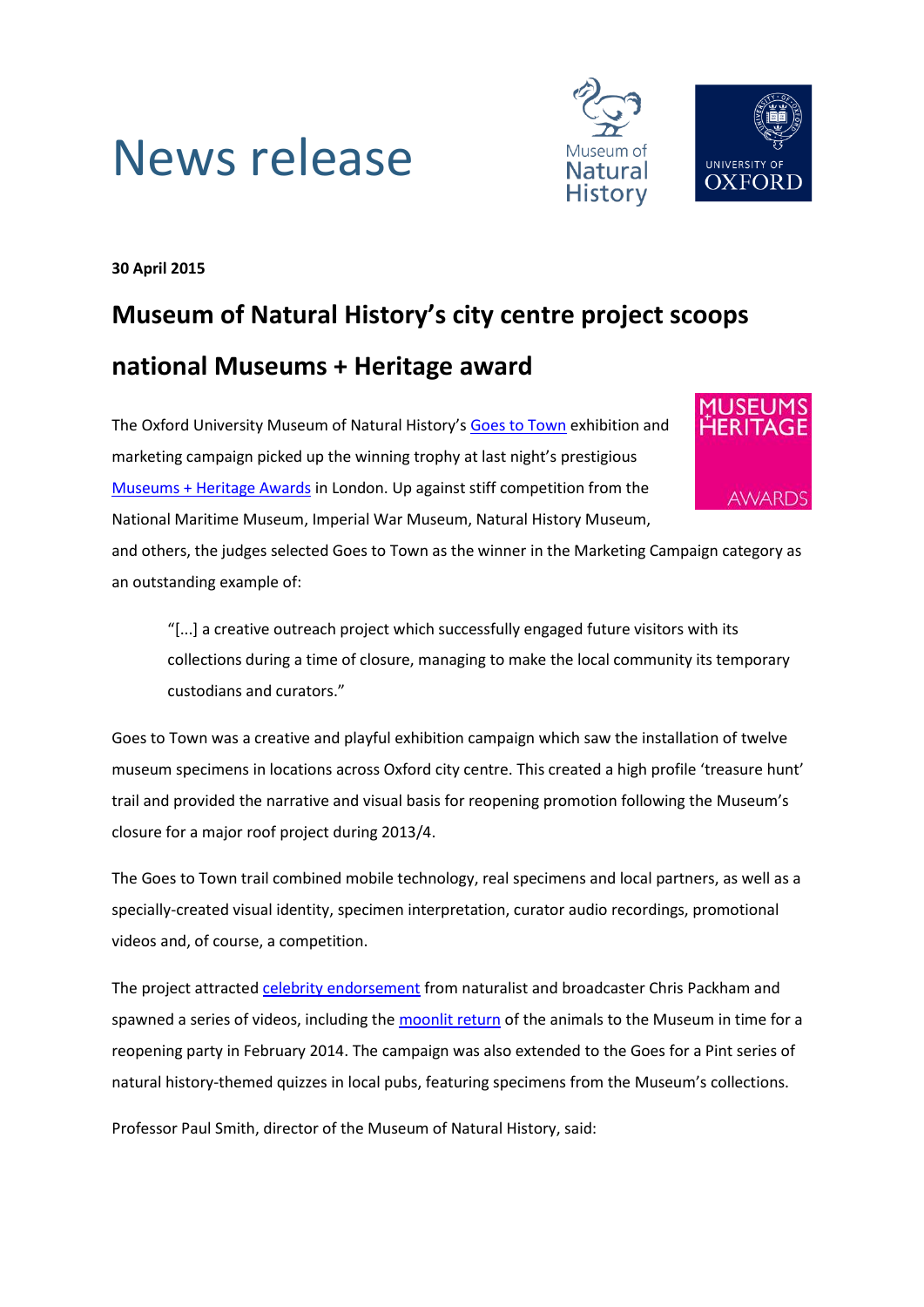



**30 April 2015**

## **Museum of Natural History's city centre project scoops national Museums + Heritage award**

The Oxford University Museum of Natural History's [Goes to Town](http://goestotown.com/) exhibition and marketing campaign picked up the winning trophy at last night's prestigious [Museums + Heritage Awards](http://www.museumsandheritage.com/show/awards/2015-winners/item/oxford-university-museum-of-natural-history-goes-to-town) in London. Up against stiff competition from the National Maritime Museum, Imperial War Museum, Natural History Museum,



and others, the judges selected Goes to Town as the winner in the Marketing Campaign category as an outstanding example of:

"[...] a creative outreach project which successfully engaged future visitors with its collections during a time of closure, managing to make the local community its temporary custodians and curators."

Goes to Town was a creative and playful exhibition campaign which saw the installation of twelve museum specimens in locations across Oxford city centre. This created a high profile 'treasure hunt' trail and provided the narrative and visual basis for reopening promotion following the Museum's closure for a major roof project during 2013/4.

The Goes to Town trail combined mobile technology, real specimens and local partners, as well as a specially-created visual identity, specimen interpretation, curator audio recordings, promotional videos and, of course, a competition.

The project attracted [celebrity endorsement](http://morethanadodo.com/2013/07/12/chris-packham-goes-to-town/) from naturalist and broadcaster Chris Packham and spawned a series of videos, including the [moonlit return](http://goestotown.com/about/) of the animals to the Museum in time for a reopening party in February 2014. The campaign was also extended to the Goes for a Pint series of natural history-themed quizzes in local pubs, featuring specimens from the Museum's collections.

Professor Paul Smith, director of the Museum of Natural History, said: